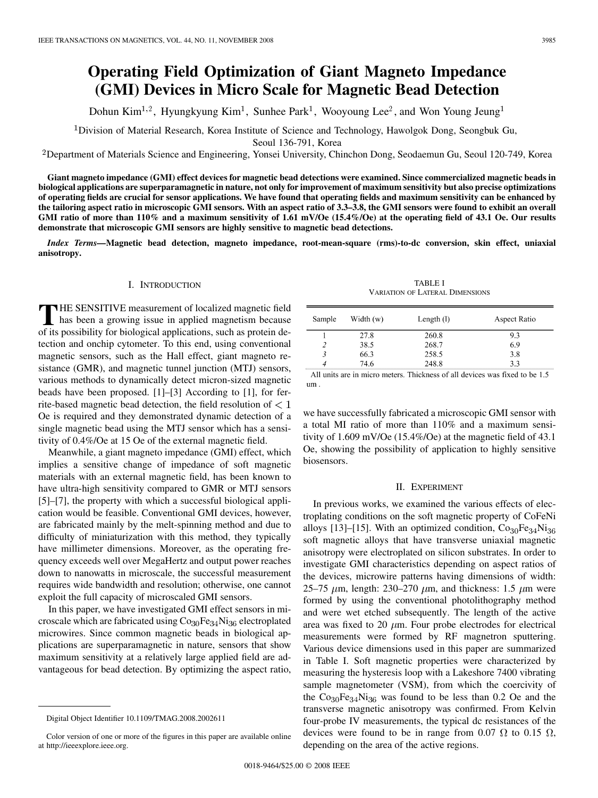# **Operating Field Optimization of Giant Magneto Impedance (GMI) Devices in Micro Scale for Magnetic Bead Detection**

Dohun Kim<sup>1,2</sup>, Hyungkyung Kim<sup>1</sup>, Sunhee Park<sup>1</sup>, Wooyoung Lee<sup>2</sup>, and Won Young Jeung<sup>1</sup>

<sup>1</sup>Division of Material Research, Korea Institute of Science and Technology, Hawolgok Dong, Seongbuk Gu,

Seoul 136-791, Korea

Department of Materials Science and Engineering, Yonsei University, Chinchon Dong, Seodaemun Gu, Seoul 120-749, Korea

**Giant magneto impedance (GMI) effect devices for magnetic bead detections were examined. Since commercialized magnetic beads in biological applications are superparamagnetic in nature, not only for improvement of maximum sensitivity but also precise optimizations of operating fields are crucial for sensor applications. We have found that operating fields and maximum sensitivity can be enhanced by the tailoring aspect ratio in microscopic GMI sensors. With an aspect ratio of 3.3–3.8, the GMI sensors were found to exhibit an overall GMI ratio of more than 110% and a maximum sensitivity of 1.61 mV/Oe (15.4%/Oe) at the operating field of 43.1 Oe. Our results demonstrate that microscopic GMI sensors are highly sensitive to magnetic bead detections.**

*Index Terms—***Magnetic bead detection, magneto impedance, root-mean-square (rms)-to-dc conversion, skin effect, uniaxial anisotropy.**

# I. INTRODUCTION

THE SENSITIVE measurement of localized magnetic field<br>has been a growing issue in applied magnetism because<br>of its possibility for biological applications, such as protein do of its possibility for biological applications, such as protein detection and onchip cytometer. To this end, using conventional magnetic sensors, such as the Hall effect, giant magneto resistance (GMR), and magnetic tunnel junction (MTJ) sensors, various methods to dynamically detect micron-sized magnetic beads have been proposed. [1]–[3] According to [1], for ferrite-based magnetic bead detection, the field resolution of  $< 1$ Oe is required and they demonstrated dynamic detection of a single magnetic bead using the MTJ sensor which has a sensitivity of 0.4%/Oe at 15 Oe of the external magnetic field.

Meanwhile, a giant magneto impedance (GMI) effect, which implies a sensitive change of impedance of soft magnetic materials with an external magnetic field, has been known to have ultra-high sensitivity compared to GMR or MTJ sensors [5]–[7], the property with which a successful biological application would be feasible. Conventional GMI devices, however, are fabricated mainly by the melt-spinning method and due to difficulty of miniaturization with this method, they typically have millimeter dimensions. Moreover, as the operating frequency exceeds well over MegaHertz and output power reaches down to nanowatts in microscale, the successful measurement requires wide bandwidth and resolution; otherwise, one cannot exploit the full capacity of microscaled GMI sensors.

In this paper, we have investigated GMI effect sensors in microscale which are fabricated using  $Co<sub>30</sub>Fe<sub>34</sub>Ni<sub>36</sub>$  electroplated microwires. Since common magnetic beads in biological applications are superparamagnetic in nature, sensors that show maximum sensitivity at a relatively large applied field are advantageous for bead detection. By optimizing the aspect ratio,

| <b>TABLE I</b>                         |
|----------------------------------------|
| <b>VARIATION OF LATERAL DIMENSIONS</b> |

| Sample      | Width $(w)$ | Length $(l)$ | Aspect Ratio |
|-------------|-------------|--------------|--------------|
|             | 27.8        | 260.8        | 9.3          |
|             | 38.5        | 268.7        | 6.9          |
| 3           | 66.3        | 258.5        | 3.8          |
| 4           | 74.6        | 248.8        | 3.3          |
| .<br>$\sim$ | $\cdot$     | .            |              |

All units are in micro meters. Thickness of all devices was fixed to be 1.5 um.

we have successfully fabricated a microscopic GMI sensor with a total MI ratio of more than 110% and a maximum sensitivity of 1.609 mV/Oe (15.4%/Oe) at the magnetic field of 43.1 Oe, showing the possibility of application to highly sensitive biosensors.

#### II. EXPERIMENT

In previous works, we examined the various effects of electroplating conditions on the soft magnetic property of CoFeNi alloys [13]–[15]. With an optimized condition,  $Co<sub>30</sub>Fe<sub>34</sub>Ni<sub>36</sub>$ soft magnetic alloys that have transverse uniaxial magnetic anisotropy were electroplated on silicon substrates. In order to investigate GMI characteristics depending on aspect ratios of the devices, microwire patterns having dimensions of width: 25–75  $\mu$ m, length: 230–270  $\mu$ m, and thickness: 1.5  $\mu$ m were formed by using the conventional photolithography method and were wet etched subsequently. The length of the active area was fixed to 20  $\mu$ m. Four probe electrodes for electrical measurements were formed by RF magnetron sputtering. Various device dimensions used in this paper are summarized in Table I. Soft magnetic properties were characterized by measuring the hysteresis loop with a Lakeshore 7400 vibrating sample magnetometer (VSM), from which the coercivity of the  $Co<sub>30</sub>Fe<sub>34</sub>Ni<sub>36</sub>$  was found to be less than 0.2 Oe and the transverse magnetic anisotropy was confirmed. From Kelvin four-probe IV measurements, the typical dc resistances of the devices were found to be in range from 0.07  $\Omega$  to 0.15  $\Omega$ , depending on the area of the active regions.

Digital Object Identifier 10.1109/TMAG.2008.2002611

Color version of one or more of the figures in this paper are available online at http://ieeexplore.ieee.org.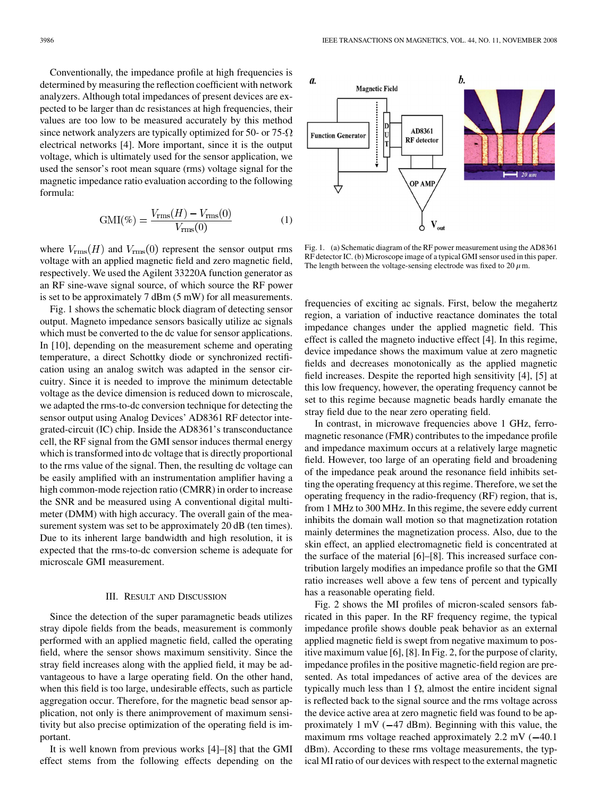Conventionally, the impedance profile at high frequencies is determined by measuring the reflection coefficient with network analyzers. Although total impedances of present devices are expected to be larger than dc resistances at high frequencies, their values are too low to be measured accurately by this method since network analyzers are typically optimized for 50- or 75- $\Omega$ electrical networks [4]. More important, since it is the output voltage, which is ultimately used for the sensor application, we used the sensor's root mean square (rms) voltage signal for the magnetic impedance ratio evaluation according to the following formula:

$$
GMI(\%) = \frac{V_{\rm rms}(H) - V_{\rm rms}(0)}{V_{\rm rms}(0)}\tag{1}
$$

where  $V_{\text{rms}}(H)$  and  $V_{\text{rms}}(0)$  represent the sensor output rms voltage with an applied magnetic field and zero magnetic field, respectively. We used the Agilent 33220A function generator as an RF sine-wave signal source, of which source the RF power is set to be approximately 7 dBm (5 mW) for all measurements.

Fig. 1 shows the schematic block diagram of detecting sensor output. Magneto impedance sensors basically utilize ac signals which must be converted to the dc value for sensor applications. In [10], depending on the measurement scheme and operating temperature, a direct Schottky diode or synchronized rectification using an analog switch was adapted in the sensor circuitry. Since it is needed to improve the minimum detectable voltage as the device dimension is reduced down to microscale, we adapted the rms-to-dc conversion technique for detecting the sensor output using Analog Devices' AD8361 RF detector integrated-circuit (IC) chip. Inside the AD8361's transconductance cell, the RF signal from the GMI sensor induces thermal energy which is transformed into dc voltage that is directly proportional to the rms value of the signal. Then, the resulting dc voltage can be easily amplified with an instrumentation amplifier having a high common-mode rejection ratio (CMRR) in order to increase the SNR and be measured using A conventional digital multimeter (DMM) with high accuracy. The overall gain of the measurement system was set to be approximately 20 dB (ten times). Due to its inherent large bandwidth and high resolution, it is expected that the rms-to-dc conversion scheme is adequate for microscale GMI measurement.

### III. RESULT AND DISCUSSION

Since the detection of the super paramagnetic beads utilizes stray dipole fields from the beads, measurement is commonly performed with an applied magnetic field, called the operating field, where the sensor shows maximum sensitivity. Since the stray field increases along with the applied field, it may be advantageous to have a large operating field. On the other hand, when this field is too large, undesirable effects, such as particle aggregation occur. Therefore, for the magnetic bead sensor application, not only is there animprovement of maximum sensitivity but also precise optimization of the operating field is important.

It is well known from previous works [4]–[8] that the GMI effect stems from the following effects depending on the



Fig. 1. (a) Schematic diagram of the RF power measurement using the AD8361 RF detector IC. (b) Microscope image of a typical GMI sensor used in this paper. The length between the voltage-sensing electrode was fixed to 20  $\mu$ m.

frequencies of exciting ac signals. First, below the megahertz region, a variation of inductive reactance dominates the total impedance changes under the applied magnetic field. This effect is called the magneto inductive effect [4]. In this regime, device impedance shows the maximum value at zero magnetic fields and decreases monotonically as the applied magnetic field increases. Despite the reported high sensitivity [4], [5] at this low frequency, however, the operating frequency cannot be set to this regime because magnetic beads hardly emanate the stray field due to the near zero operating field.

In contrast, in microwave frequencies above 1 GHz, ferromagnetic resonance (FMR) contributes to the impedance profile and impedance maximum occurs at a relatively large magnetic field. However, too large of an operating field and broadening of the impedance peak around the resonance field inhibits setting the operating frequency at this regime. Therefore, we set the operating frequency in the radio-frequency (RF) region, that is, from 1 MHz to 300 MHz. In this regime, the severe eddy current inhibits the domain wall motion so that magnetization rotation mainly determines the magnetization process. Also, due to the skin effect, an applied electromagnetic field is concentrated at the surface of the material [6]–[8]. This increased surface contribution largely modifies an impedance profile so that the GMI ratio increases well above a few tens of percent and typically has a reasonable operating field.

Fig. 2 shows the MI profiles of micron-scaled sensors fabricated in this paper. In the RF frequency regime, the typical impedance profile shows double peak behavior as an external applied magnetic field is swept from negative maximum to positive maximum value [6], [8]. In Fig. 2, for the purpose of clarity, impedance profiles in the positive magnetic-field region are presented. As total impedances of active area of the devices are typically much less than 1  $\Omega$ , almost the entire incident signal is reflected back to the signal source and the rms voltage across the device active area at zero magnetic field was found to be approximately 1 mV  $(-47 \text{ dBm})$ . Beginning with this value, the maximum rms voltage reached approximately  $2.2 \text{ mV}$  ( $-40.1$ ) dBm). According to these rms voltage measurements, the typical MI ratio of our devices with respect to the external magnetic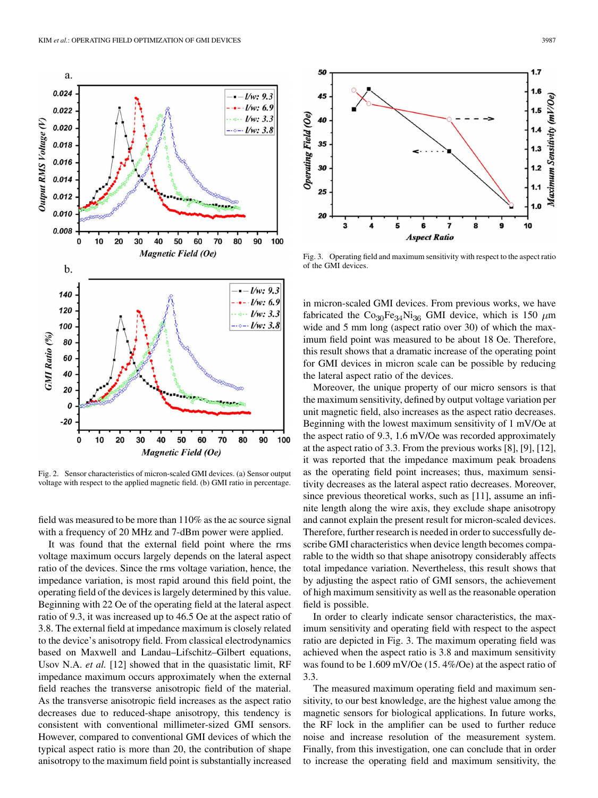

Fig. 2. Sensor characteristics of micron-scaled GMI devices. (a) Sensor output voltage with respect to the applied magnetic field. (b) GMI ratio in percentage.

field was measured to be more than 110% as the ac source signal with a frequency of 20 MHz and 7-dBm power were applied.

It was found that the external field point where the rms voltage maximum occurs largely depends on the lateral aspect ratio of the devices. Since the rms voltage variation, hence, the impedance variation, is most rapid around this field point, the operating field of the devices is largely determined by this value. Beginning with 22 Oe of the operating field at the lateral aspect ratio of 9.3, it was increased up to 46.5 Oe at the aspect ratio of 3.8. The external field at impedance maximum is closely related to the device's anisotropy field. From classical electrodynamics based on Maxwell and Landau–Lifschitz–Gilbert equations, Usov N.A. *et al.* [12] showed that in the quasistatic limit, RF impedance maximum occurs approximately when the external field reaches the transverse anisotropic field of the material. As the transverse anisotropic field increases as the aspect ratio decreases due to reduced-shape anisotropy, this tendency is consistent with conventional millimeter-sized GMI sensors. However, compared to conventional GMI devices of which the typical aspect ratio is more than 20, the contribution of shape anisotropy to the maximum field point is substantially increased



Fig. 3. Operating field and maximum sensitivity with respect to the aspect ratio of the GMI devices.

in micron-scaled GMI devices. From previous works, we have fabricated the Co<sub>30</sub>Fe<sub>34</sub>Ni<sub>36</sub> GMI device, which is 150  $\mu$ m wide and 5 mm long (aspect ratio over 30) of which the maximum field point was measured to be about 18 Oe. Therefore, this result shows that a dramatic increase of the operating point for GMI devices in micron scale can be possible by reducing the lateral aspect ratio of the devices.

Moreover, the unique property of our micro sensors is that the maximum sensitivity, defined by output voltage variation per unit magnetic field, also increases as the aspect ratio decreases. Beginning with the lowest maximum sensitivity of 1 mV/Oe at the aspect ratio of 9.3, 1.6 mV/Oe was recorded approximately at the aspect ratio of 3.3. From the previous works [8], [9], [12], it was reported that the impedance maximum peak broadens as the operating field point increases; thus, maximum sensitivity decreases as the lateral aspect ratio decreases. Moreover, since previous theoretical works, such as [11], assume an infinite length along the wire axis, they exclude shape anisotropy and cannot explain the present result for micron-scaled devices. Therefore, further research is needed in order to successfully describe GMI characteristics when device length becomes comparable to the width so that shape anisotropy considerably affects total impedance variation. Nevertheless, this result shows that by adjusting the aspect ratio of GMI sensors, the achievement of high maximum sensitivity as well as the reasonable operation field is possible.

In order to clearly indicate sensor characteristics, the maximum sensitivity and operating field with respect to the aspect ratio are depicted in Fig. 3. The maximum operating field was achieved when the aspect ratio is 3.8 and maximum sensitivity was found to be 1.609 mV/Oe (15. 4%/Oe) at the aspect ratio of 3.3.

The measured maximum operating field and maximum sensitivity, to our best knowledge, are the highest value among the magnetic sensors for biological applications. In future works, the RF lock in the amplifier can be used to further reduce noise and increase resolution of the measurement system. Finally, from this investigation, one can conclude that in order to increase the operating field and maximum sensitivity, the